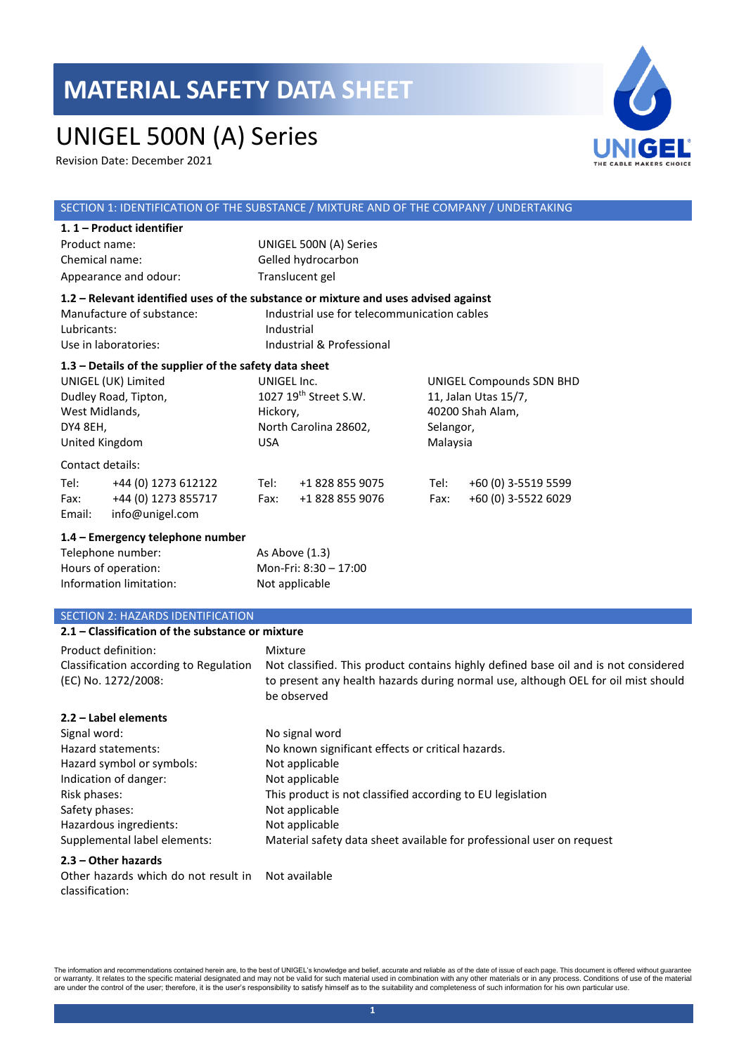# UNIGEL 500N (A) Series

Revision Date: December 2021



#### SECTION 1: IDENTIFICATION OF THE SUBSTANCE / MIXTURE AND OF THE COMPANY / UNDERTAKING **1. 1 – Product identifier**  Product name: UNIGEL 500N (A) Series Chemical name: Gelled hydrocarbon Appearance and odour: Translucent gel **1.2 – Relevant identified uses of the substance or mixture and uses advised against** Manufacture of substance: Industrial use for telecommunication cables Lubricants: Industrial Use in laboratories: Industrial & Professional **1.3 – Details of the supplier of the safety data sheet** UNIGEL (UK) Limited Dudley Road, Tipton, West Midlands, DY4 8EH, United Kingdom UNIGEL Inc. 1027 19th Street S.W. Hickory, North Carolina 28602, USA UNIGEL Compounds SDN BHD 11, Jalan Utas 15/7, 40200 Shah Alam, Selangor, Malaysia Contact details: Tel: +44 (0) 1273 612122 Tel: +1 828 855 9075 Tel: +60 (0) 3-5519 5599 Fax: +44 (0) 1273 855717 Fax: +1 828 855 9076 Fax: +60 (0) 3-5522 6029 Email: info@unigel.com **1.4 – Emergency telephone number** Telephone number: As Above (1.3) Hours of operation: Mon-Fri: 8:30 – 17:00 Information limitation: Not applicable SECTION 2: HAZARDS IDENTIFICATION **2.1 – Classification of the substance or mixture** Product definition: Mixture

|                                                               | .                                                                                                                                                                                       |
|---------------------------------------------------------------|-----------------------------------------------------------------------------------------------------------------------------------------------------------------------------------------|
| Classification according to Regulation<br>(EC) No. 1272/2008: | Not classified. This product contains highly defined base oil and is not considered<br>to present any health hazards during normal use, although OEL for oil mist should<br>be observed |
| 2.2 – Label elements                                          |                                                                                                                                                                                         |
| Signal word:                                                  | No signal word                                                                                                                                                                          |
| Hazard statements:                                            | No known significant effects or critical hazards.                                                                                                                                       |
| Hazard symbol or symbols:                                     | Not applicable                                                                                                                                                                          |
| Indication of danger:                                         | Not applicable                                                                                                                                                                          |
| Risk phases:                                                  | This product is not classified according to EU legislation                                                                                                                              |
| Safety phases:                                                | Not applicable                                                                                                                                                                          |
| Hazardous ingredients:                                        | Not applicable                                                                                                                                                                          |
| Supplemental label elements:                                  | Material safety data sheet available for professional user on request                                                                                                                   |
| 22 Other heserds                                              |                                                                                                                                                                                         |

#### **2.3 – Other hazards**

Other hazards which do not result in Not availableclassification: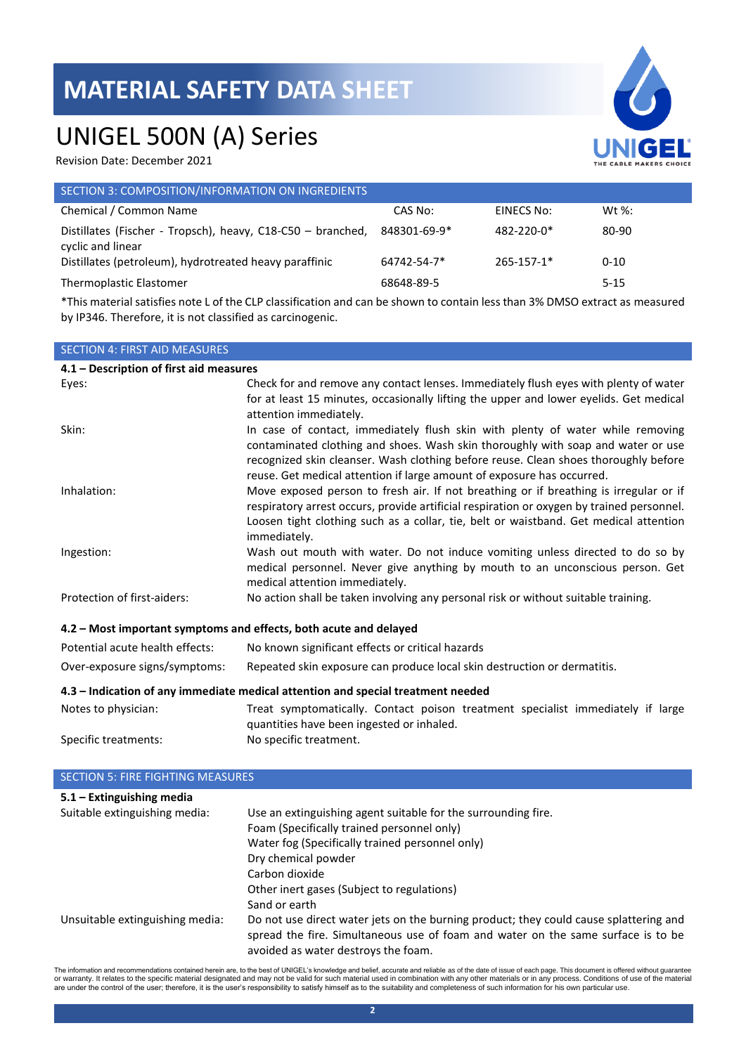### UNIGEL 500N (A) Series

Revision Date: December 2021

| evision Date: Deceniber 2021.                                                    |              |            | THE CABLE MAKERS CHOIC |  |
|----------------------------------------------------------------------------------|--------------|------------|------------------------|--|
| SECTION 3: COMPOSITION/INFORMATION ON INGREDIENTS                                |              |            |                        |  |
| Chemical / Common Name                                                           | CAS No:      | EINECS No: | Wt %:                  |  |
| Distillates (Fischer - Tropsch), heavy, C18-C50 - branched,<br>cyclic and linear | 848301-69-9* | 482-220-0* | 80-90                  |  |
| Distillates (petroleum), hydrotreated heavy paraffinic                           | 64742-54-7*  | 265-157-1* | $0 - 10$               |  |
| Thermoplastic Elastomer                                                          | 68648-89-5   |            | $5 - 15$               |  |
|                                                                                  |              |            |                        |  |

\*This material satisfies note L of the CLP classification and can be shown to contain less than 3% DMSO extract as measured by IP346. Therefore, it is not classified as carcinogenic.

| <b>SECTION 4: FIRST AID MEASURES</b>                                             |                                                                                                                                                                                                                                                                                                                                     |  |  |
|----------------------------------------------------------------------------------|-------------------------------------------------------------------------------------------------------------------------------------------------------------------------------------------------------------------------------------------------------------------------------------------------------------------------------------|--|--|
|                                                                                  | 4.1 - Description of first aid measures                                                                                                                                                                                                                                                                                             |  |  |
| Eyes:                                                                            | Check for and remove any contact lenses. Immediately flush eyes with plenty of water<br>for at least 15 minutes, occasionally lifting the upper and lower eyelids. Get medical<br>attention immediately.                                                                                                                            |  |  |
| Skin:                                                                            | In case of contact, immediately flush skin with plenty of water while removing<br>contaminated clothing and shoes. Wash skin thoroughly with soap and water or use<br>recognized skin cleanser. Wash clothing before reuse. Clean shoes thoroughly before<br>reuse. Get medical attention if large amount of exposure has occurred. |  |  |
| Inhalation:                                                                      | Move exposed person to fresh air. If not breathing or if breathing is irregular or if<br>respiratory arrest occurs, provide artificial respiration or oxygen by trained personnel.<br>Loosen tight clothing such as a collar, tie, belt or waistband. Get medical attention<br>immediately.                                         |  |  |
| Ingestion:                                                                       | Wash out mouth with water. Do not induce vomiting unless directed to do so by<br>medical personnel. Never give anything by mouth to an unconscious person. Get<br>medical attention immediately.                                                                                                                                    |  |  |
| Protection of first-aiders:                                                      | No action shall be taken involving any personal risk or without suitable training.                                                                                                                                                                                                                                                  |  |  |
| 4.2 - Most important symptoms and effects, both acute and delayed                |                                                                                                                                                                                                                                                                                                                                     |  |  |
| Potential acute health effects:                                                  | No known significant effects or critical hazards                                                                                                                                                                                                                                                                                    |  |  |
| Over-exposure signs/symptoms:                                                    | Repeated skin exposure can produce local skin destruction or dermatitis.                                                                                                                                                                                                                                                            |  |  |
| 4.3 - Indication of any immediate medical attention and special treatment needed |                                                                                                                                                                                                                                                                                                                                     |  |  |
| Notes to physician:                                                              | Treat symptomatically. Contact poison treatment specialist immediately if large<br>quantities have been ingested or inhaled.                                                                                                                                                                                                        |  |  |
| Specific treatments:                                                             | No specific treatment.                                                                                                                                                                                                                                                                                                              |  |  |

| <b>SECTION 5: FIRE FIGHTING MEASURES</b> |                                                                                                                                                                                                                  |  |
|------------------------------------------|------------------------------------------------------------------------------------------------------------------------------------------------------------------------------------------------------------------|--|
| $5.1 -$ Extinguishing media              |                                                                                                                                                                                                                  |  |
| Suitable extinguishing media:            | Use an extinguishing agent suitable for the surrounding fire.                                                                                                                                                    |  |
|                                          | Foam (Specifically trained personnel only)                                                                                                                                                                       |  |
|                                          | Water fog (Specifically trained personnel only)                                                                                                                                                                  |  |
|                                          | Dry chemical powder                                                                                                                                                                                              |  |
|                                          | Carbon dioxide                                                                                                                                                                                                   |  |
|                                          | Other inert gases (Subject to regulations)                                                                                                                                                                       |  |
|                                          | Sand or earth                                                                                                                                                                                                    |  |
| Unsuitable extinguishing media:          | Do not use direct water jets on the burning product; they could cause splattering and<br>spread the fire. Simultaneous use of foam and water on the same surface is to be<br>avoided as water destroys the foam. |  |

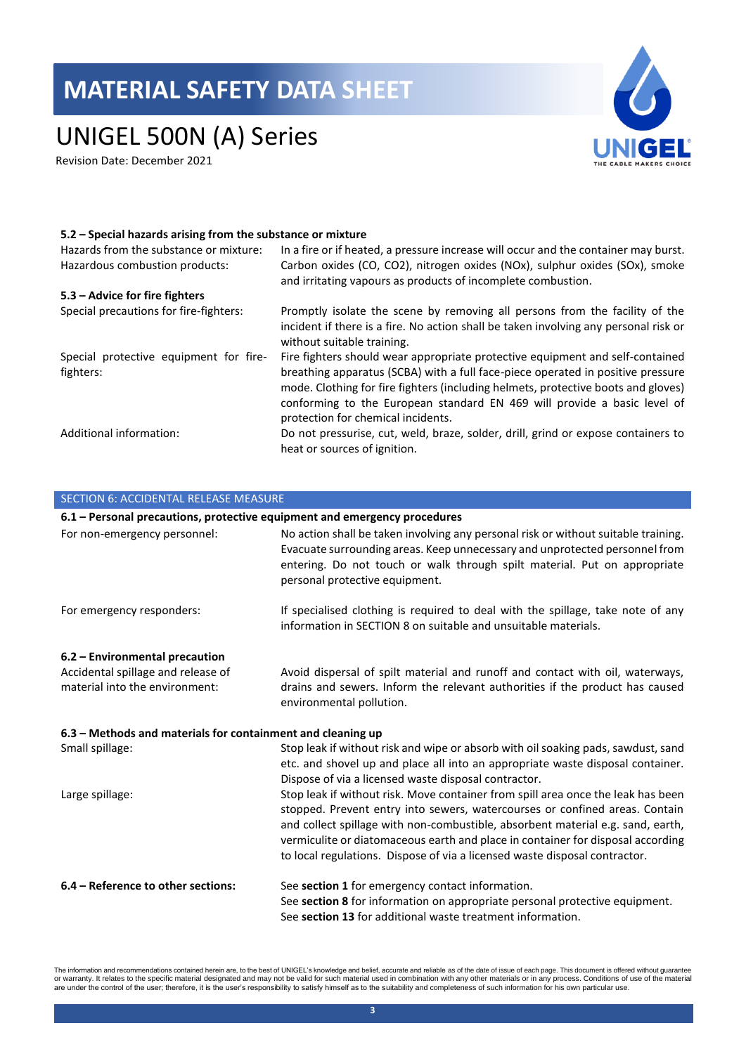# UNIGEL 500N (A) Series

Revision Date: December 2021



### **5.2 – Special hazards arising from the substance or mixture**

| Hazards from the substance or mixture:<br>Hazardous combustion products: | In a fire or if heated, a pressure increase will occur and the container may burst.<br>Carbon oxides (CO, CO2), nitrogen oxides (NOx), sulphur oxides (SOx), smoke                                                                                                                                                                                                      |
|--------------------------------------------------------------------------|-------------------------------------------------------------------------------------------------------------------------------------------------------------------------------------------------------------------------------------------------------------------------------------------------------------------------------------------------------------------------|
|                                                                          | and irritating vapours as products of incomplete combustion.                                                                                                                                                                                                                                                                                                            |
| 5.3 – Advice for fire fighters                                           |                                                                                                                                                                                                                                                                                                                                                                         |
| Special precautions for fire-fighters:                                   | Promptly isolate the scene by removing all persons from the facility of the<br>incident if there is a fire. No action shall be taken involving any personal risk or<br>without suitable training.                                                                                                                                                                       |
| Special protective equipment for fire-<br>fighters:                      | Fire fighters should wear appropriate protective equipment and self-contained<br>breathing apparatus (SCBA) with a full face-piece operated in positive pressure<br>mode. Clothing for fire fighters (including helmets, protective boots and gloves)<br>conforming to the European standard EN 469 will provide a basic level of<br>protection for chemical incidents. |
| Additional information:                                                  | Do not pressurise, cut, weld, braze, solder, drill, grind or expose containers to<br>heat or sources of ignition.                                                                                                                                                                                                                                                       |

| SECTION 6: ACCIDENTAL RELEASE MEASURE                                     |                                                                                                                                                                                                                                                                                                                                                                                                                     |  |
|---------------------------------------------------------------------------|---------------------------------------------------------------------------------------------------------------------------------------------------------------------------------------------------------------------------------------------------------------------------------------------------------------------------------------------------------------------------------------------------------------------|--|
| 6.1 - Personal precautions, protective equipment and emergency procedures |                                                                                                                                                                                                                                                                                                                                                                                                                     |  |
| For non-emergency personnel:                                              | No action shall be taken involving any personal risk or without suitable training.<br>Evacuate surrounding areas. Keep unnecessary and unprotected personnel from<br>entering. Do not touch or walk through spilt material. Put on appropriate<br>personal protective equipment.                                                                                                                                    |  |
| For emergency responders:                                                 | If specialised clothing is required to deal with the spillage, take note of any<br>information in SECTION 8 on suitable and unsuitable materials.                                                                                                                                                                                                                                                                   |  |
| 6.2 – Environmental precaution                                            |                                                                                                                                                                                                                                                                                                                                                                                                                     |  |
| Accidental spillage and release of                                        | Avoid dispersal of spilt material and runoff and contact with oil, waterways,                                                                                                                                                                                                                                                                                                                                       |  |
| material into the environment:                                            | drains and sewers. Inform the relevant authorities if the product has caused<br>environmental pollution.                                                                                                                                                                                                                                                                                                            |  |
| 6.3 - Methods and materials for containment and cleaning up               |                                                                                                                                                                                                                                                                                                                                                                                                                     |  |
| Small spillage:                                                           | Stop leak if without risk and wipe or absorb with oil soaking pads, sawdust, sand<br>etc. and shovel up and place all into an appropriate waste disposal container.<br>Dispose of via a licensed waste disposal contractor.                                                                                                                                                                                         |  |
| Large spillage:                                                           | Stop leak if without risk. Move container from spill area once the leak has been<br>stopped. Prevent entry into sewers, watercourses or confined areas. Contain<br>and collect spillage with non-combustible, absorbent material e.g. sand, earth,<br>vermiculite or diatomaceous earth and place in container for disposal according<br>to local regulations. Dispose of via a licensed waste disposal contractor. |  |
| 6.4 - Reference to other sections:                                        | See section 1 for emergency contact information.<br>See section 8 for information on appropriate personal protective equipment.<br>See section 13 for additional waste treatment information.                                                                                                                                                                                                                       |  |

The information and recommendations contained herein are, to the best of UNIGEL's knowledge and belief, accurate and reliable as of the date of issue of each page. This document is offered without guarantee<br>or warranty. It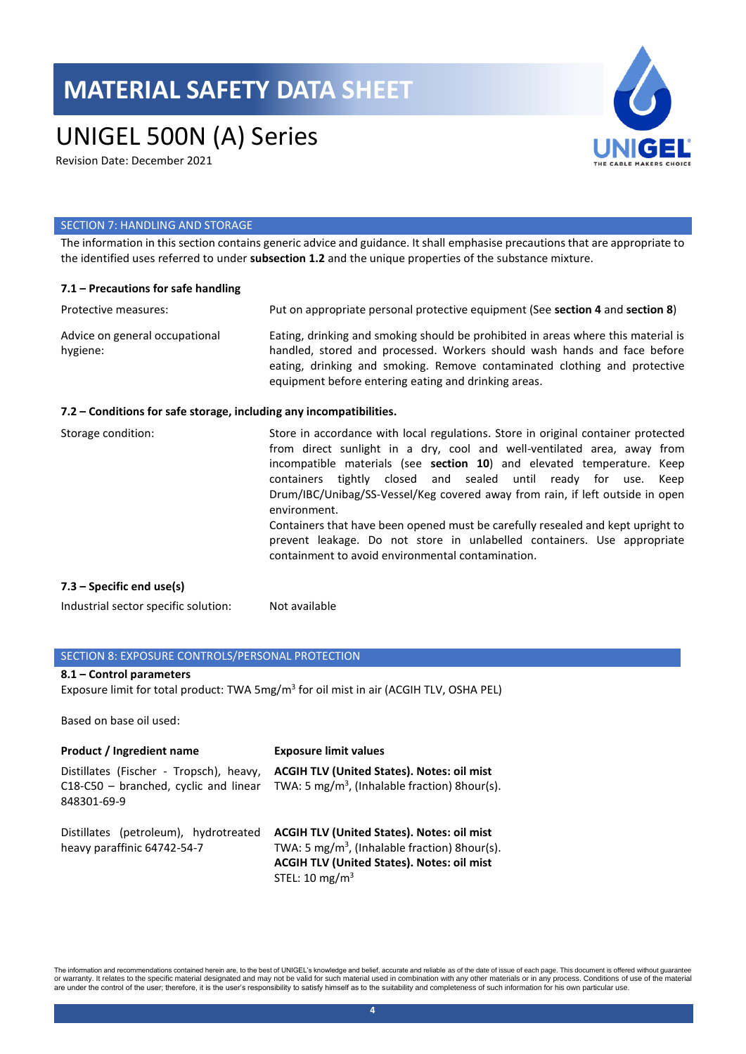# UNIGEL 500N (A) Series

Revision Date: December 2021



### SECTION 7: HANDLING AND STORAGE

The information in this section contains generic advice and guidance. It shall emphasise precautions that are appropriate to the identified uses referred to under **subsection 1.2** and the unique properties of the substance mixture.

| 7.1 - Precautions for safe handling                                 |                                                                                                                                                                                                                                                                                                                                                                                                                                                                                                                                                                                                                                 |
|---------------------------------------------------------------------|---------------------------------------------------------------------------------------------------------------------------------------------------------------------------------------------------------------------------------------------------------------------------------------------------------------------------------------------------------------------------------------------------------------------------------------------------------------------------------------------------------------------------------------------------------------------------------------------------------------------------------|
| Protective measures:                                                | Put on appropriate personal protective equipment (See section 4 and section 8)                                                                                                                                                                                                                                                                                                                                                                                                                                                                                                                                                  |
| Advice on general occupational<br>hygiene:                          | Eating, drinking and smoking should be prohibited in areas where this material is<br>handled, stored and processed. Workers should wash hands and face before<br>eating, drinking and smoking. Remove contaminated clothing and protective<br>equipment before entering eating and drinking areas.                                                                                                                                                                                                                                                                                                                              |
| 7.2 – Conditions for safe storage, including any incompatibilities. |                                                                                                                                                                                                                                                                                                                                                                                                                                                                                                                                                                                                                                 |
| Storage condition:                                                  | Store in accordance with local regulations. Store in original container protected<br>from direct sunlight in a dry, cool and well-ventilated area, away from<br>incompatible materials (see section 10) and elevated temperature. Keep<br>containers tightly closed and sealed until ready for use.<br>Keep<br>Drum/IBC/Unibag/SS-Vessel/Keg covered away from rain, if left outside in open<br>environment.<br>Containers that have been opened must be carefully resealed and kept upright to<br>prevent leakage. Do not store in unlabelled containers. Use appropriate<br>containment to avoid environmental contamination. |

#### **7.3 – Specific end use(s)**

Industrial sector specific solution: Not available

### SECTION 8: EXPOSURE CONTROLS/PERSONAL PROTECTION

### **8.1 – Control parameters**

Exposure limit for total product: TWA 5mg/m<sup>3</sup> for oil mist in air (ACGIH TLV, OSHA PEL)

Based on base oil used:

| <b>Product / Ingredient name</b>                                                                   | <b>Exposure limit values</b>                                                                                                                                                                      |
|----------------------------------------------------------------------------------------------------|---------------------------------------------------------------------------------------------------------------------------------------------------------------------------------------------------|
| Distillates (Fischer - Tropsch), heavy,<br>$C18-C50 - branched$ , cyclic and linear<br>848301-69-9 | <b>ACGIH TLV (United States). Notes: oil mist</b><br>TWA: 5 mg/m <sup>3</sup> , (Inhalable fraction) 8hour(s).                                                                                    |
| Distillates (petroleum), hydrotreated<br>heavy paraffinic 64742-54-7                               | <b>ACGIH TLV (United States). Notes: oil mist</b><br>TWA: 5 mg/m <sup>3</sup> , (Inhalable fraction) 8hour(s).<br><b>ACGIH TLV (United States). Notes: oil mist</b><br>STEL: 10 mg/m <sup>3</sup> |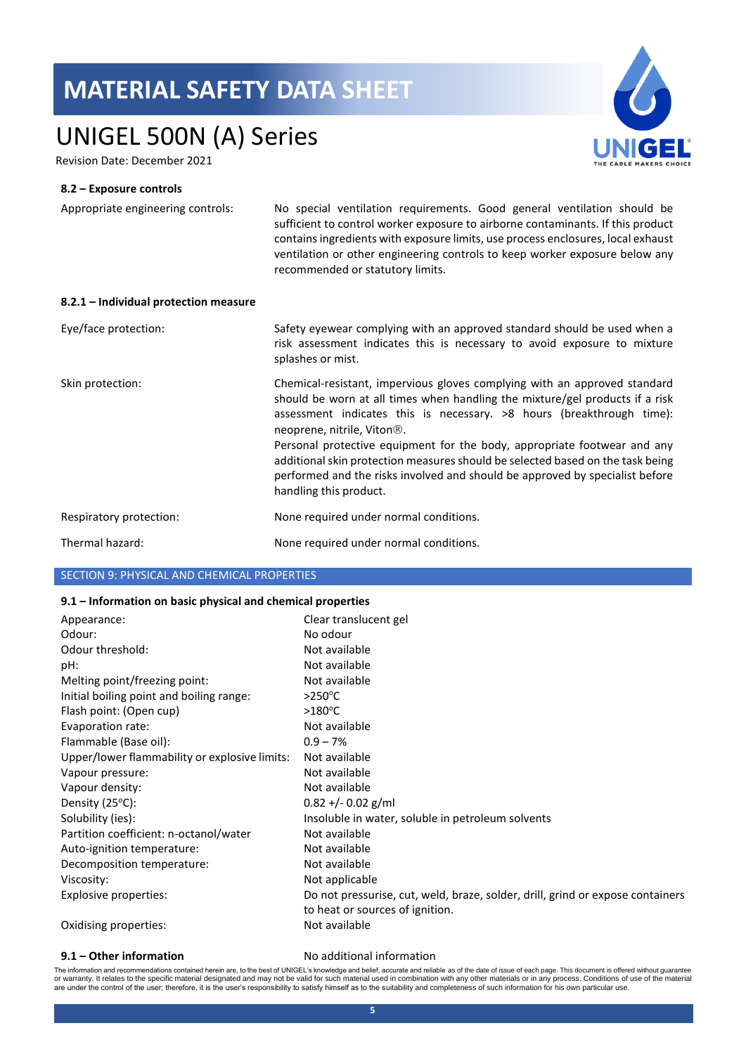# UNIGEL 500N (A) Series

Revision Date: December 2021

### **8.2 – Exposure controls**

Appropriate engineering controls: No special ventilation requirements. Good general ventilation should be sufficient to control worker exposure to airborne contaminants. If this product contains ingredients with exposure limits, use process enclosures, local exhaust ventilation or other engineering controls to keep worker exposure below any recommended or statutory limits.

| 8.2.1 - Individual protection measure |                                                                                                                                                                                                                                                                                                                                                                                                                                                                                                                                                       |
|---------------------------------------|-------------------------------------------------------------------------------------------------------------------------------------------------------------------------------------------------------------------------------------------------------------------------------------------------------------------------------------------------------------------------------------------------------------------------------------------------------------------------------------------------------------------------------------------------------|
| Eye/face protection:                  | Safety eyewear complying with an approved standard should be used when a<br>risk assessment indicates this is necessary to avoid exposure to mixture<br>splashes or mist.                                                                                                                                                                                                                                                                                                                                                                             |
| Skin protection:                      | Chemical-resistant, impervious gloves complying with an approved standard<br>should be worn at all times when handling the mixture/gel products if a risk<br>assessment indicates this is necessary. >8 hours (breakthrough time):<br>neoprene, nitrile, Viton <sup>®</sup> .<br>Personal protective equipment for the body, appropriate footwear and any<br>additional skin protection measures should be selected based on the task being<br>performed and the risks involved and should be approved by specialist before<br>handling this product. |
| Respiratory protection:               | None required under normal conditions.                                                                                                                                                                                                                                                                                                                                                                                                                                                                                                                |
| Thermal hazard:                       | None required under normal conditions.                                                                                                                                                                                                                                                                                                                                                                                                                                                                                                                |

### SECTION 9: PHYSICAL AND CHEMICAL PROPERTIES

### **9.1 – Information on basic physical and chemical properties**

| Appearance:                                   | Clear translucent gel                                                          |
|-----------------------------------------------|--------------------------------------------------------------------------------|
| Odour:                                        | No odour                                                                       |
| Odour threshold:                              | Not available                                                                  |
| pH:                                           | Not available                                                                  |
| Melting point/freezing point:                 | Not available                                                                  |
| Initial boiling point and boiling range:      | $>250^{\circ}$ C                                                               |
| Flash point: (Open cup)                       | $>180^{\circ}$ C                                                               |
| Evaporation rate:                             | Not available                                                                  |
| Flammable (Base oil):                         | $0.9 - 7%$                                                                     |
| Upper/lower flammability or explosive limits: | Not available                                                                  |
| Vapour pressure:                              | Not available                                                                  |
| Vapour density:                               | Not available                                                                  |
| Density (25°C):                               | $0.82 + (-0.02)$ g/ml                                                          |
| Solubility (ies):                             | Insoluble in water, soluble in petroleum solvents                              |
| Partition coefficient: n-octanol/water        | Not available                                                                  |
| Auto-ignition temperature:                    | Not available                                                                  |
| Decomposition temperature:                    | Not available                                                                  |
| Viscosity:                                    | Not applicable                                                                 |
| Explosive properties:                         | Do not pressurise, cut, weld, braze, solder, drill, grind or expose containers |
|                                               | to heat or sources of ignition.                                                |
| Oxidising properties:                         | Not available                                                                  |

### **9.1 – Other information** No additional information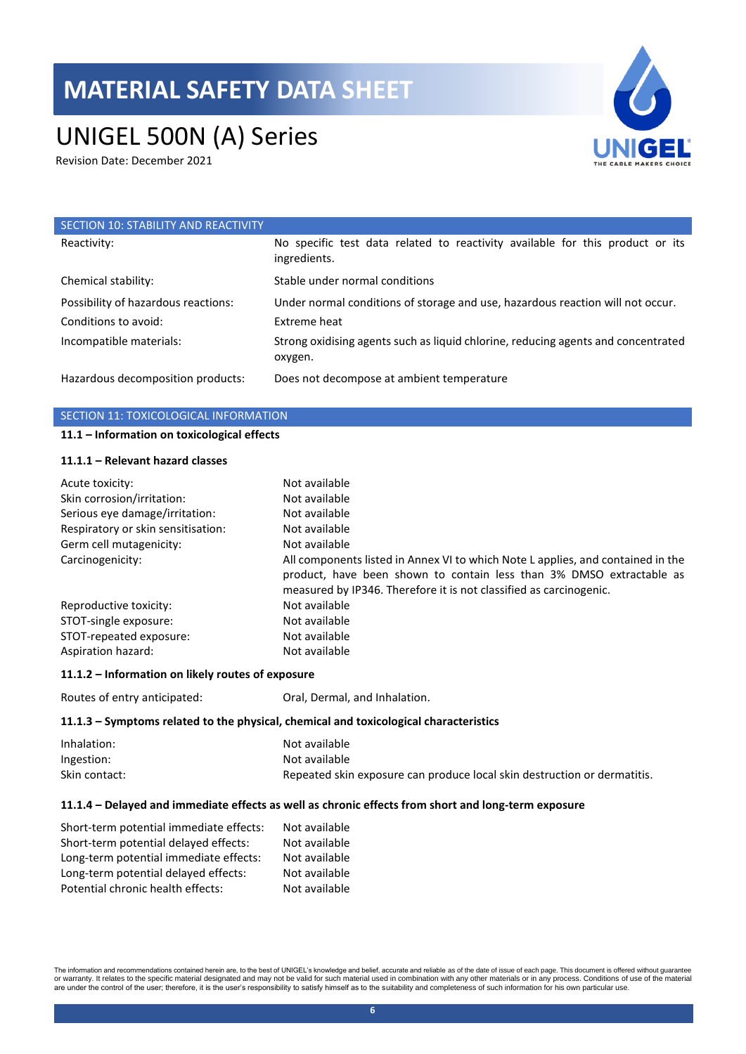# UNIGEL 500N (A) Series

Revision Date: December 2021



| SECTION 10: STABILITY AND REACTIVITY |                                                                                               |
|--------------------------------------|-----------------------------------------------------------------------------------------------|
| Reactivity:                          | No specific test data related to reactivity available for this product or its<br>ingredients. |
| Chemical stability:                  | Stable under normal conditions                                                                |
| Possibility of hazardous reactions:  | Under normal conditions of storage and use, hazardous reaction will not occur.                |
| Conditions to avoid:                 | Extreme heat                                                                                  |
| Incompatible materials:              | Strong oxidising agents such as liquid chlorine, reducing agents and concentrated<br>oxygen.  |
| Hazardous decomposition products:    | Does not decompose at ambient temperature                                                     |

### SECTION 11: TOXICOLOGICAL INFORMATION

#### **11.1 – Information on toxicological effects**

### **11.1.1 – Relevant hazard classes**

| Acute toxicity:                    | Not available                                                                                                                                                                                                                 |
|------------------------------------|-------------------------------------------------------------------------------------------------------------------------------------------------------------------------------------------------------------------------------|
| Skin corrosion/irritation:         | Not available                                                                                                                                                                                                                 |
| Serious eye damage/irritation:     | Not available                                                                                                                                                                                                                 |
| Respiratory or skin sensitisation: | Not available                                                                                                                                                                                                                 |
| Germ cell mutagenicity:            | Not available                                                                                                                                                                                                                 |
| Carcinogenicity:                   | All components listed in Annex VI to which Note L applies, and contained in the<br>product, have been shown to contain less than 3% DMSO extractable as<br>measured by IP346. Therefore it is not classified as carcinogenic. |
| Reproductive toxicity:             | Not available                                                                                                                                                                                                                 |
| STOT-single exposure:              | Not available                                                                                                                                                                                                                 |
| STOT-repeated exposure:            | Not available                                                                                                                                                                                                                 |
| Aspiration hazard:                 | Not available                                                                                                                                                                                                                 |

### **11.1.2 – Information on likely routes of exposure**

Routes of entry anticipated: Oral, Dermal, and Inhalation.

### **11.1.3 – Symptoms related to the physical, chemical and toxicological characteristics**

| Inhalation:   | Not available                                                            |
|---------------|--------------------------------------------------------------------------|
| Ingestion:    | Not available                                                            |
| Skin contact: | Repeated skin exposure can produce local skin destruction or dermatitis. |

### **11.1.4 – Delayed and immediate effects as well as chronic effects from short and long-term exposure**

| Short-term potential immediate effects: | Not available |
|-----------------------------------------|---------------|
| Short-term potential delayed effects:   | Not available |
| Long-term potential immediate effects:  | Not available |
| Long-term potential delayed effects:    | Not available |
| Potential chronic health effects:       | Not available |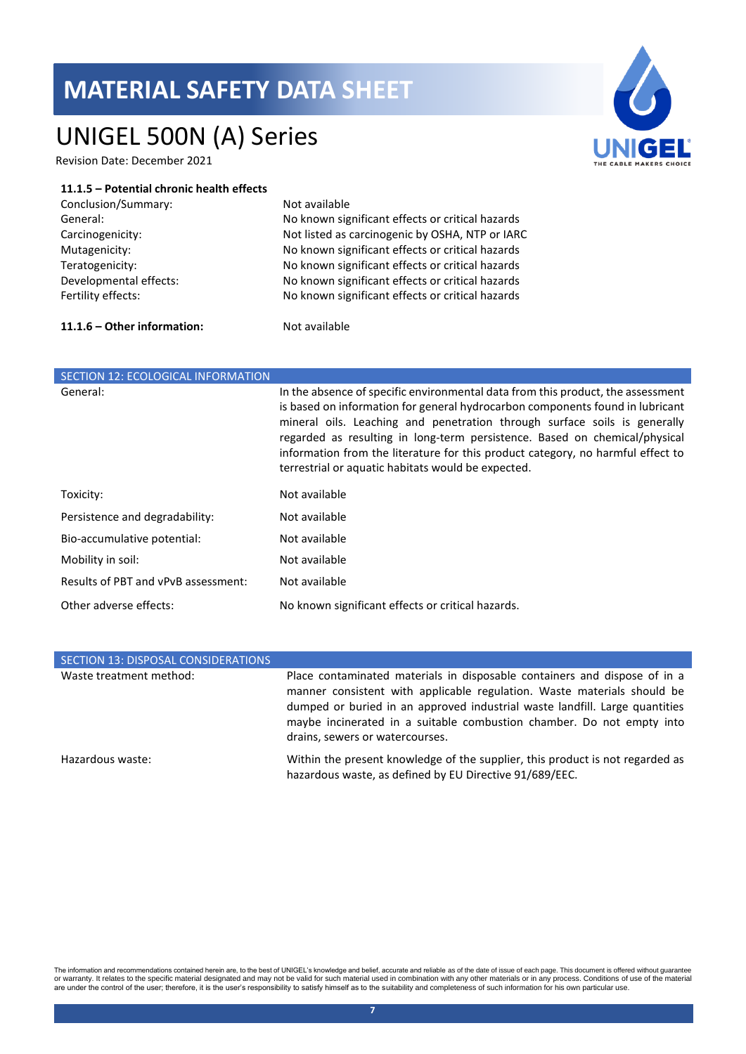# UNIGEL 500N (A) Series

Revision Date: December 2021

### **11.1.5 – Potential chronic health effects**

| Conclusion/Summary:    |
|------------------------|
| General:               |
| Carcinogenicity:       |
| Mutagenicity:          |
| Teratogenicity:        |
| Developmental effects: |
| Fertility effects:     |

Not available No known significant effects or critical hazards Not listed as carcinogenic by OSHA, NTP or IARC No known significant effects or critical hazards No known significant effects or critical hazards No known significant effects or critical hazards No known significant effects or critical hazards

### **11.1.6 – Other information:** Not available

| SECTION 12: ECOLOGICAL INFORMATION  |                                                                                                                                                                                                                                                                                                                                                                                                                                                                      |
|-------------------------------------|----------------------------------------------------------------------------------------------------------------------------------------------------------------------------------------------------------------------------------------------------------------------------------------------------------------------------------------------------------------------------------------------------------------------------------------------------------------------|
| General:                            | In the absence of specific environmental data from this product, the assessment<br>is based on information for general hydrocarbon components found in lubricant<br>mineral oils. Leaching and penetration through surface soils is generally<br>regarded as resulting in long-term persistence. Based on chemical/physical<br>information from the literature for this product category, no harmful effect to<br>terrestrial or aquatic habitats would be expected. |
| Toxicity:                           | Not available                                                                                                                                                                                                                                                                                                                                                                                                                                                        |
| Persistence and degradability:      | Not available                                                                                                                                                                                                                                                                                                                                                                                                                                                        |
| Bio-accumulative potential:         | Not available                                                                                                                                                                                                                                                                                                                                                                                                                                                        |
| Mobility in soil:                   | Not available                                                                                                                                                                                                                                                                                                                                                                                                                                                        |
| Results of PBT and vPvB assessment: | Not available                                                                                                                                                                                                                                                                                                                                                                                                                                                        |
| Other adverse effects:              | No known significant effects or critical hazards.                                                                                                                                                                                                                                                                                                                                                                                                                    |

| SECTION 13: DISPOSAL CONSIDERATIONS |                                                                                                                                                                                                                                                                                                                                                 |
|-------------------------------------|-------------------------------------------------------------------------------------------------------------------------------------------------------------------------------------------------------------------------------------------------------------------------------------------------------------------------------------------------|
| Waste treatment method:             | Place contaminated materials in disposable containers and dispose of in a<br>manner consistent with applicable regulation. Waste materials should be<br>dumped or buried in an approved industrial waste landfill. Large quantities<br>maybe incinerated in a suitable combustion chamber. Do not empty into<br>drains, sewers or watercourses. |
| Hazardous waste:                    | Within the present knowledge of the supplier, this product is not regarded as<br>hazardous waste, as defined by EU Directive 91/689/EEC.                                                                                                                                                                                                        |